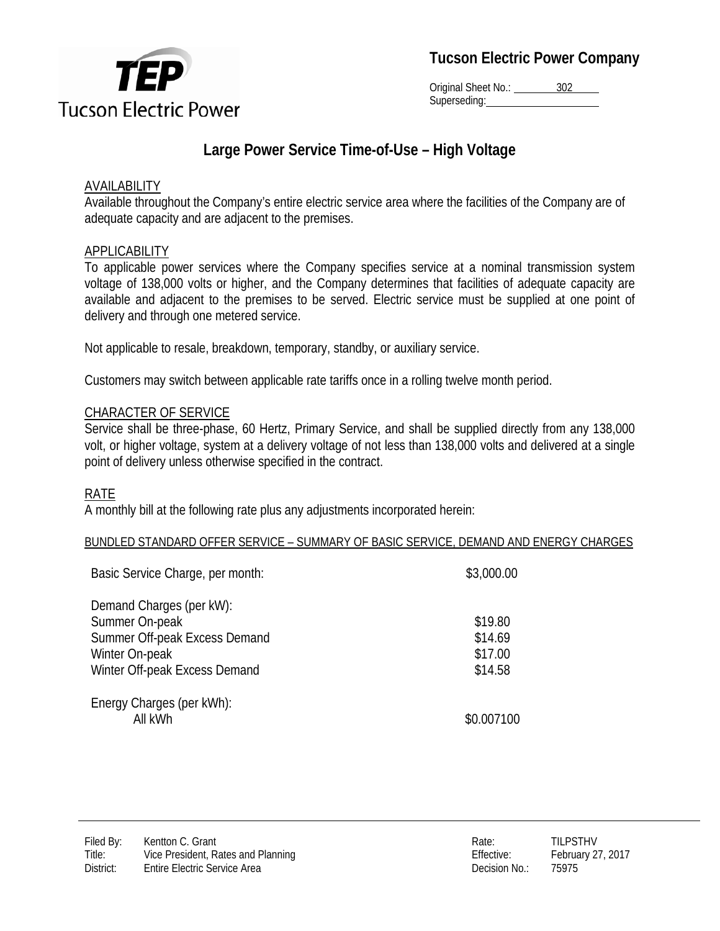

**Tucson Electric Power Company**

Original Sheet No.: 302 Superseding:

# **Large Power Service Time-of-Use – High Voltage**

### **AVAILABILITY**

Available throughout the Company's entire electric service area where the facilities of the Company are of adequate capacity and are adjacent to the premises.

### APPLICABILITY

To applicable power services where the Company specifies service at a nominal transmission system voltage of 138,000 volts or higher, and the Company determines that facilities of adequate capacity are available and adjacent to the premises to be served. Electric service must be supplied at one point of delivery and through one metered service.

Not applicable to resale, breakdown, temporary, standby, or auxiliary service.

Customers may switch between applicable rate tariffs once in a rolling twelve month period.

### CHARACTER OF SERVICE

Service shall be three-phase, 60 Hertz, Primary Service, and shall be supplied directly from any 138,000 volt, or higher voltage, system at a delivery voltage of not less than 138,000 volts and delivered at a single point of delivery unless otherwise specified in the contract.

## RATE

A monthly bill at the following rate plus any adjustments incorporated herein:

#### BUNDLED STANDARD OFFER SERVICE – SUMMARY OF BASIC SERVICE, DEMAND AND ENERGY CHARGES

| Basic Service Charge, per month:                                                                                               | \$3,000.00                               |
|--------------------------------------------------------------------------------------------------------------------------------|------------------------------------------|
| Demand Charges (per kW):<br>Summer On-peak<br>Summer Off-peak Excess Demand<br>Winter On-peak<br>Winter Off-peak Excess Demand | \$19.80<br>\$14.69<br>\$17.00<br>\$14.58 |
| Energy Charges (per kWh):<br>All kWh                                                                                           | \$0.007100                               |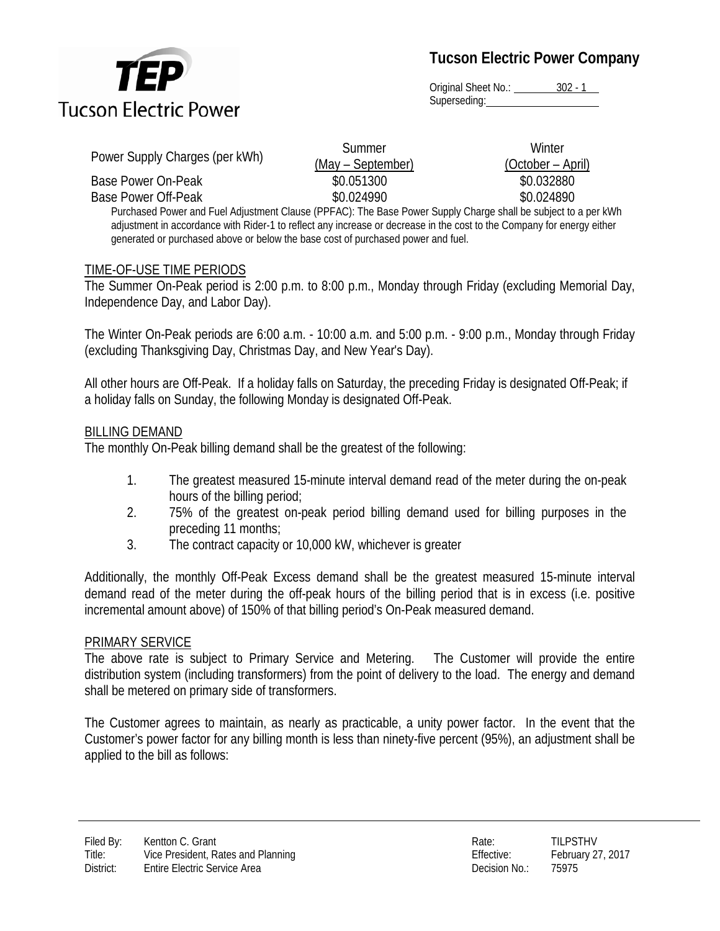

**Tucson Electric Power Company**

Original Sheet No.: 302 - 1 Superseding:

| Power Supply Charges (per kWh)                                                                                 | Summer            | Winter            |  |
|----------------------------------------------------------------------------------------------------------------|-------------------|-------------------|--|
|                                                                                                                | (May – September) | (October – April) |  |
| Base Power On-Peak                                                                                             | \$0.051300        | \$0.032880        |  |
| Base Power Off-Peak                                                                                            | \$0.024990        | \$0.024890        |  |
| Purchased Power and Fuel Adjustment Clause (PPFAC): The Base Power Supply Charge shall be subject to a per kWh |                   |                   |  |

adjustment in accordance with Rider-1 to reflect any increase or decrease in the cost to the Company for energy either generated or purchased above or below the base cost of purchased power and fuel.

#### TIME-OF-USE TIME PERIODS

The Summer On-Peak period is 2:00 p.m. to 8:00 p.m., Monday through Friday (excluding Memorial Day, Independence Day, and Labor Day).

The Winter On-Peak periods are 6:00 a.m. - 10:00 a.m. and 5:00 p.m. - 9:00 p.m., Monday through Friday (excluding Thanksgiving Day, Christmas Day, and New Year's Day).

All other hours are Off-Peak. If a holiday falls on Saturday, the preceding Friday is designated Off-Peak; if a holiday falls on Sunday, the following Monday is designated Off-Peak.

#### BILLING DEMAND

The monthly On-Peak billing demand shall be the greatest of the following:

- 1. The greatest measured 15-minute interval demand read of the meter during the on-peak hours of the billing period;
- 2. 75% of the greatest on-peak period billing demand used for billing purposes in the preceding 11 months;
- 3. The contract capacity or 10,000 kW, whichever is greater

Additionally, the monthly Off-Peak Excess demand shall be the greatest measured 15-minute interval demand read of the meter during the off-peak hours of the billing period that is in excess (i.e. positive incremental amount above) of 150% of that billing period's On-Peak measured demand.

#### PRIMARY SERVICE

The above rate is subject to Primary Service and Metering. The Customer will provide the entire distribution system (including transformers) from the point of delivery to the load. The energy and demand shall be metered on primary side of transformers.

The Customer agrees to maintain, as nearly as practicable, a unity power factor. In the event that the Customer's power factor for any billing month is less than ninety-five percent (95%), an adjustment shall be applied to the bill as follows: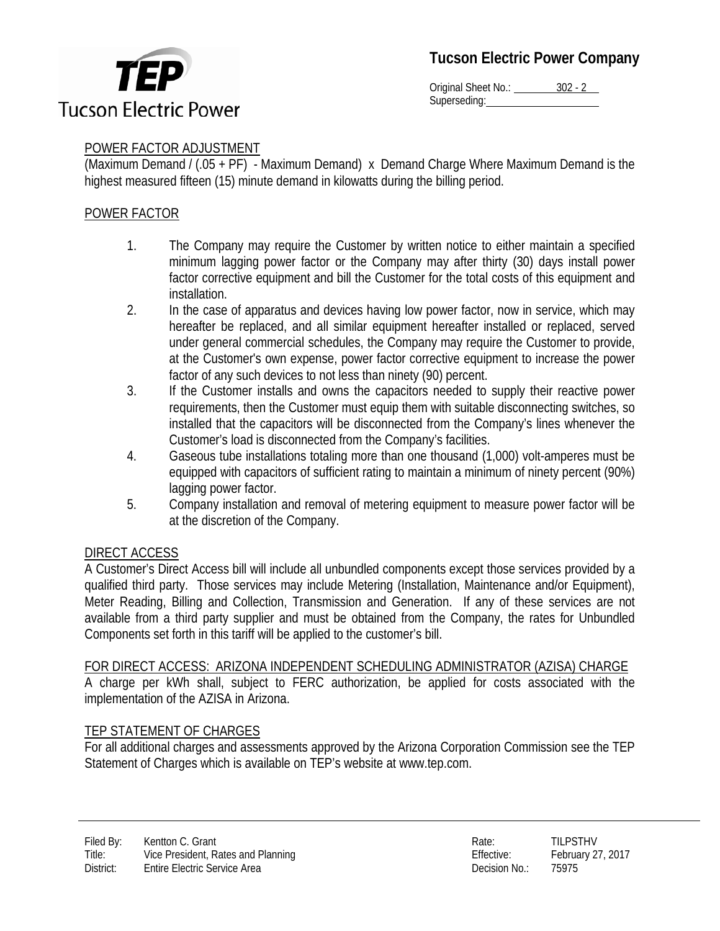

Original Sheet No.: 302 - 2 Superseding:

# POWER FACTOR ADJUSTMENT

(Maximum Demand / (.05 + PF) - Maximum Demand) x Demand Charge Where Maximum Demand is the highest measured fifteen (15) minute demand in kilowatts during the billing period.

# POWER FACTOR

- 1. The Company may require the Customer by written notice to either maintain a specified minimum lagging power factor or the Company may after thirty (30) days install power factor corrective equipment and bill the Customer for the total costs of this equipment and installation.
- 2. In the case of apparatus and devices having low power factor, now in service, which may hereafter be replaced, and all similar equipment hereafter installed or replaced, served under general commercial schedules, the Company may require the Customer to provide, at the Customer's own expense, power factor corrective equipment to increase the power factor of any such devices to not less than ninety (90) percent.
- 3. If the Customer installs and owns the capacitors needed to supply their reactive power requirements, then the Customer must equip them with suitable disconnecting switches, so installed that the capacitors will be disconnected from the Company's lines whenever the Customer's load is disconnected from the Company's facilities.
- 4. Gaseous tube installations totaling more than one thousand (1,000) volt-amperes must be equipped with capacitors of sufficient rating to maintain a minimum of ninety percent (90%) lagging power factor.
- 5. Company installation and removal of metering equipment to measure power factor will be at the discretion of the Company.

## DIRECT ACCESS

A Customer's Direct Access bill will include all unbundled components except those services provided by a qualified third party. Those services may include Metering (Installation, Maintenance and/or Equipment), Meter Reading, Billing and Collection, Transmission and Generation. If any of these services are not available from a third party supplier and must be obtained from the Company, the rates for Unbundled Components set forth in this tariff will be applied to the customer's bill.

### FOR DIRECT ACCESS: ARIZONA INDEPENDENT SCHEDULING ADMINISTRATOR (AZISA) CHARGE

A charge per kWh shall, subject to FERC authorization, be applied for costs associated with the implementation of the AZISA in Arizona.

## TEP STATEMENT OF CHARGES

For all additional charges and assessments approved by the Arizona Corporation Commission see the TEP Statement of Charges which is available on TEP's website at www.tep.com.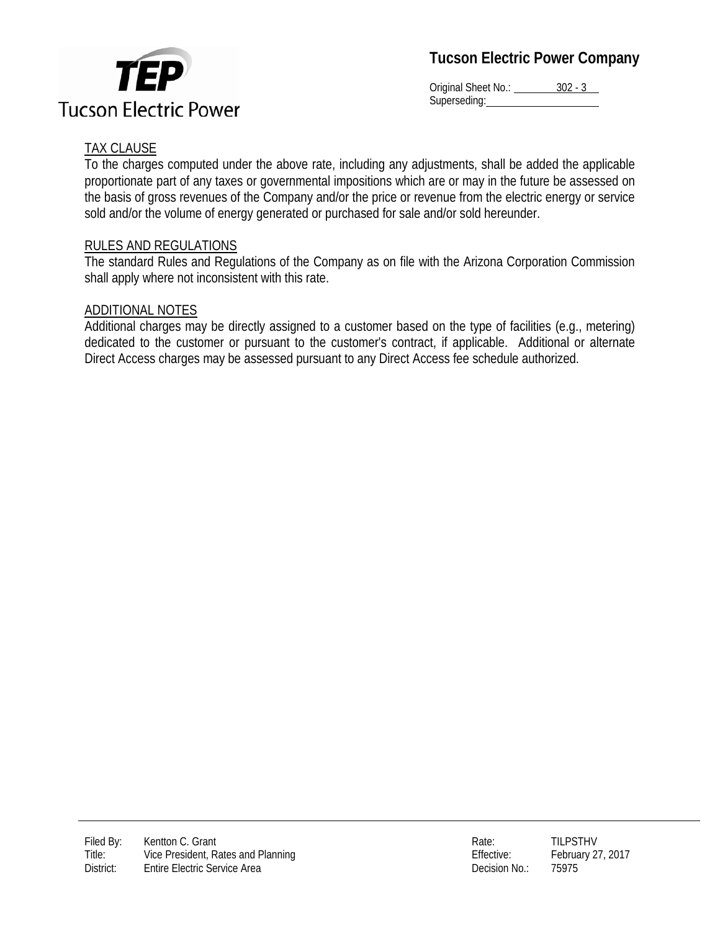



Original Sheet No.: 302 - 3 Superseding: Web and the Superseding:

# TAX CLAUSE

To the charges computed under the above rate, including any adjustments, shall be added the applicable proportionate part of any taxes or governmental impositions which are or may in the future be assessed on the basis of gross revenues of the Company and/or the price or revenue from the electric energy or service sold and/or the volume of energy generated or purchased for sale and/or sold hereunder.

### RULES AND REGULATIONS

The standard Rules and Regulations of the Company as on file with the Arizona Corporation Commission shall apply where not inconsistent with this rate.

### ADDITIONAL NOTES

Additional charges may be directly assigned to a customer based on the type of facilities (e.g., metering) dedicated to the customer or pursuant to the customer's contract, if applicable. Additional or alternate Direct Access charges may be assessed pursuant to any Direct Access fee schedule authorized.